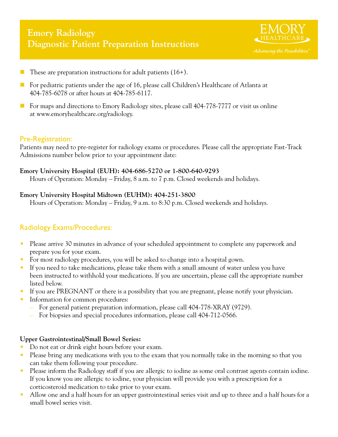# **Emory Radiology Diagnostic Patient Preparation Instructions**



- These are preparation instructions for adult patients  $(16+)$ .
- For pediatric patients under the age of 16, please call Children's Healthcare of Atlanta at 404-785-6078 or after hours at 404-785-6117.
- $\blacksquare$  For maps and directions to Emory Radiology sites, please call 404-778-7777 or visit us online at www.emoryhealthcare.org/radiology.

## Pre-Registration:

Patients may need to pre-register for radiology exams or procedures. Please call the appropriate Fast-Track Admissions number below prior to your appointment date:

#### **Emory University Hospital (EUH): 404-686-5270 or 1-800-640-9293**

Hours of Operation: Monday – Friday, 8 a.m. to 7 p.m. Closed weekends and holidays.

## **Emory University Hospital Midtown (EUHM): 404-251-3800**

Hours of Operation: Monday – Friday, 9 a.m. to 8:30 p.m. Closed weekends and holidays.

# Radiology Exams/Procedures:

- Please arrive 30 minutes in advance of your scheduled appointment to complete any paperwork and prepare you for your exam.
- For most radiology procedures, you will be asked to change into a hospital gown.
- If you need to take medications, please take them with a small amount of water unless you have been instructed to withhold your medications. If you are uncertain, please call the appropriate number listed below.
- If you are PREGNANT or there is a possibility that you are pregnant, please notify your physician.
- Information for common procedures:
	- For general patient preparation information, please call 404-778-XRAY (9729).
	- For biopsies and special procedures information, please call 404-712-0566.

## **Upper Gastrointestinal/Small Bowel Series:**

- Do not eat or drink eight hours before your exam.
- Please bring any medications with you to the exam that you normally take in the morning so that you can take them following your procedure.
- Please inform the Radiology staff if you are allergic to iodine as some oral contrast agents contain iodine. If you know you are allergic to iodine, your physician will provide you with a prescription for a corticosteroid medication to take prior to your exam.
- Allow one and a half hours for an upper gastrointestinal series visit and up to three and a half hours for a small bowel series visit.